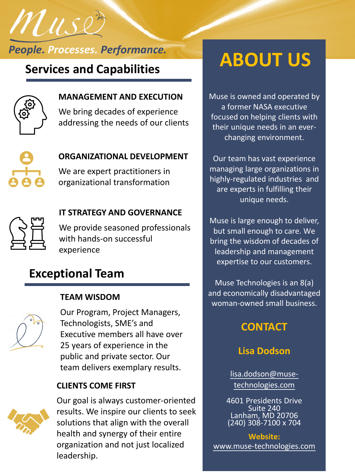*People. Processes. Performance.*



Muse

#### **MANAGEMENT AND EXECUTION**

We bring decades of experience addressing the needs of our clients



#### **ORGANIZATIONAL DEVELOPMENT**

We are expert practitioners in organizational transformation



#### **IT STRATEGY AND GOVERNANCE**

We provide seasoned professionals with hands-on successful experience

## **Exceptional Team**

#### **TEAM WISDOM**



Our Program, Project Managers, Technologists, SME's and Executive members all have over 25 years of experience in the public and private sector. Our team delivers exemplary results.

#### **CLIENTS COME FIRST**



Our goal is always customer-oriented results. We inspire our clients to seek solutions that align with the overall health and synergy of their entire organization and not just localized leadership.

# **ABOUT US**<br>Services and Capabilities **ABOUT US**

Muse is owned and operated by a former NASA executive focused on helping clients with their unique needs in an everchanging environment.

Our team has vast experience managing large organizations in highly-regulated industries and are experts in fulfilling their unique needs.

Muse is large enough to deliver, but small enough to care. We bring the wisdom of decades of leadership and management expertise to our customers.

Muse Technologies is an 8(a) and economically disadvantaged woman-owned small business.

### **CONTACT**

#### **Lisa Dodson**

lisa.dodson@musetechnologies.com

[4601 Presidents Drive](mailto:lisa.dodson@muse-technologies.com) Suite 240 Lanham, MD 20706 (240) 308-7100 x 704

**Website:** [www.muse-technologies.com](http://www.muse-technologies.com/)